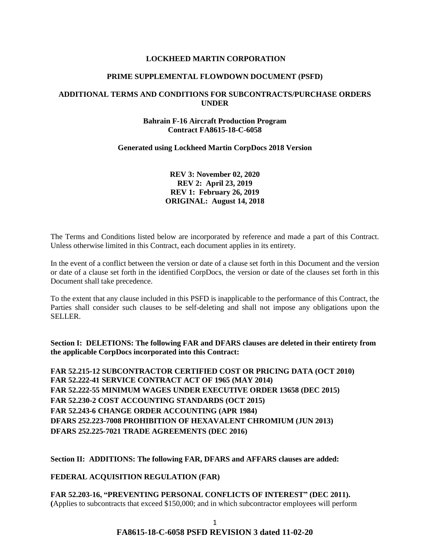#### **LOCKHEED MARTIN CORPORATION**

#### **PRIME SUPPLEMENTAL FLOWDOWN DOCUMENT (PSFD)**

### **ADDITIONAL TERMS AND CONDITIONS FOR SUBCONTRACTS/PURCHASE ORDERS UNDER**

### **Bahrain F-16 Aircraft Production Program Contract FA8615-18-C-6058**

#### **Generated using Lockheed Martin CorpDocs 2018 Version**

**REV 3: November 02, 2020 REV 2: April 23, 2019 REV 1: February 26, 2019 ORIGINAL: August 14, 2018**

The Terms and Conditions listed below are incorporated by reference and made a part of this Contract. Unless otherwise limited in this Contract, each document applies in its entirety.

In the event of a conflict between the version or date of a clause set forth in this Document and the version or date of a clause set forth in the identified CorpDocs, the version or date of the clauses set forth in this Document shall take precedence.

To the extent that any clause included in this PSFD is inapplicable to the performance of this Contract, the Parties shall consider such clauses to be self-deleting and shall not impose any obligations upon the SELLER.

**Section I: DELETIONS: The following FAR and DFARS clauses are deleted in their entirety from the applicable CorpDocs incorporated into this Contract:**

**FAR 52.215-12 SUBCONTRACTOR CERTIFIED COST OR PRICING DATA (OCT 2010) FAR 52.222-41 SERVICE CONTRACT ACT OF 1965 (MAY 2014) FAR 52.222-55 MINIMUM WAGES UNDER EXECUTIVE ORDER 13658 (DEC 2015) FAR 52.230-2 COST ACCOUNTING STANDARDS (OCT 2015) FAR 52.243-6 CHANGE ORDER ACCOUNTING (APR 1984) DFARS 252.223-7008 PROHIBITION OF HEXAVALENT CHROMIUM (JUN 2013) DFARS 252.225-7021 TRADE AGREEMENTS (DEC 2016)**

**Section II: ADDITIONS: The following FAR, DFARS and AFFARS clauses are added:**

**[FEDERAL ACQUISITION REGULATION \(](https://www.acquisition.gov/browsefar)FAR)**

**FAR 52.203-16, "PREVENTING PERSONAL CONFLICTS OF INTEREST" (DEC 2011). (**Applies to subcontracts that exceed \$150,000; and in which subcontractor employees will perform

> 1 **FA8615-18-C-6058 PSFD REVISION 3 dated 11-02-20**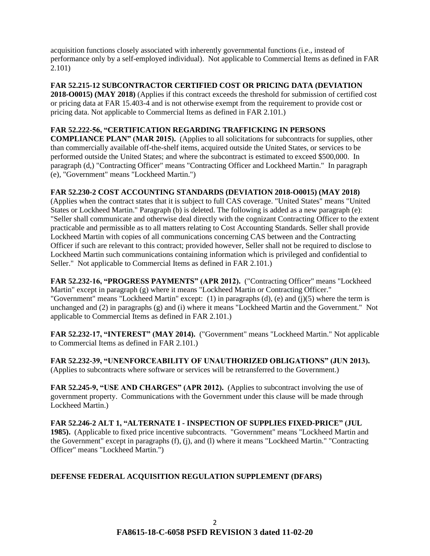acquisition functions closely associated with inherently governmental functions (i.e., instead of performance only by a self-employed individual). Not applicable to Commercial Items as defined in FAR 2.101)

**FAR 52.215-12 SUBCONTRACTOR CERTIFIED COST OR PRICING DATA (DEVIATION 2018-O0015) (MAY 2018)** (Applies if this contract exceeds the threshold for submission of certified cost or pricing data at FAR 15.403-4 and is not otherwise exempt from the requirement to provide cost or pricing data. Not applicable to Commercial Items as defined in FAR 2.101.)

## **FAR 52.222-56, "CERTIFICATION REGARDING TRAFFICKING IN PERSONS**

**COMPLIANCE PLAN" (MAR 2015).** (Applies to all solicitations for subcontracts for supplies, other than commercially available off-the-shelf items, acquired outside the United States, or services to be performed outside the United States; and where the subcontract is estimated to exceed \$500,000. In paragraph (d,) "Contracting Officer" means "Contracting Officer and Lockheed Martin." In paragraph (e), "Government" means "Lockheed Martin.")

## **FAR 52.230-2 COST ACCOUNTING STANDARDS (DEVIATION 2018-O0015) (MAY 2018)**

(Applies when the contract states that it is subject to full CAS coverage. "United States" means "United States or Lockheed Martin." Paragraph (b) is deleted. The following is added as a new paragraph (e): "Seller shall communicate and otherwise deal directly with the cognizant Contracting Officer to the extent practicable and permissible as to all matters relating to Cost Accounting Standards. Seller shall provide Lockheed Martin with copies of all communications concerning CAS between and the Contracting Officer if such are relevant to this contract; provided however, Seller shall not be required to disclose to Lockheed Martin such communications containing information which is privileged and confidential to Seller." Not applicable to Commercial Items as defined in FAR 2.101.)

**FAR 52.232-16, "PROGRESS PAYMENTS" (APR 2012).** ("Contracting Officer" means "Lockheed Martin" except in paragraph (g) where it means "Lockheed Martin or Contracting Officer." "Government" means "Lockheed Martin" except:  $(1)$  in paragraphs  $(d)$ ,  $(e)$  and  $(i)(5)$  where the term is unchanged and (2) in paragraphs (g) and (i) where it means "Lockheed Martin and the Government." Not applicable to Commercial Items as defined in FAR 2.101.)

**FAR 52.232-17, "INTEREST" (MAY 2014).** ("Government" means "Lockheed Martin." Not applicable to Commercial Items as defined in FAR 2.101.)

**FAR 52.232-39, "UNENFORCEABILITY OF UNAUTHORIZED OBLIGATIONS" (JUN 2013).** (Applies to subcontracts where software or services will be retransferred to the Government.)

**FAR 52.245-9, "USE AND CHARGES" (APR 2012).** (Applies to subcontract involving the use of government property. Communications with the Government under this clause will be made through Lockheed Martin.)

**FAR 52.246-2 ALT 1, "ALTERNATE I - INSPECTION OF SUPPLIES FIXED-PRICE" (JUL 1985).** (Applicable to fixed price incentive subcontracts. "Government" means "Lockheed Martin and the Government" except in paragraphs (f), (j), and (l) where it means "Lockheed Martin." "Contracting Officer" means "Lockheed Martin.")

## **DEFENSE FEDERAL ACQUISITION REGULATION SUPPLEMENT (DFARS)**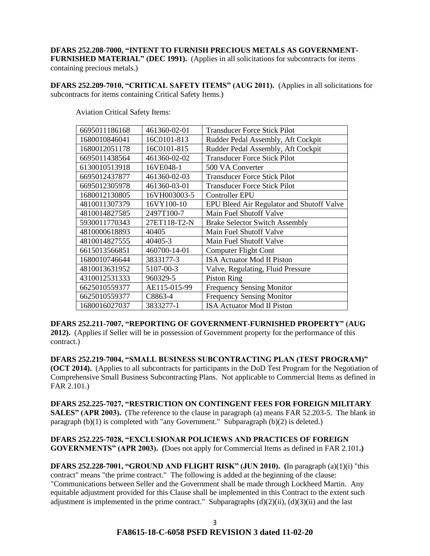# **DFARS 252.208-7000, "INTENT TO FURNISH PRECIOUS METALS AS GOVERNMENT-FURNISHED MATERIAL" (DEC 1991).** (Applies in all solicitations for subcontracts for items

containing precious metals.)

**DFARS 252.209-7010, "CRITICAL SAFETY ITEMS" (AUG 2011).** (Applies in all solicitations for subcontracts for items containing Critical Safety Items.)

| 6695011186168 | 461360-02-01 | <b>Transducer Force Stick Pilot</b>       |
|---------------|--------------|-------------------------------------------|
| 1680010846041 | 16C0101-813  | Rudder Pedal Assembly, Aft Cockpit        |
| 1680012051178 | 16C0101-815  | Rudder Pedal Assembly, Aft Cockpit        |
| 6695011438564 | 461360-02-02 | <b>Transducer Force Stick Pilot</b>       |
| 6130010513918 | 16VE048-1    | 500 VA Converter                          |
| 6695012437877 | 461360-02-03 | <b>Transducer Force Stick Pilot</b>       |
| 6695012305978 | 461360-03-01 | <b>Transducer Force Stick Pilot</b>       |
| 1680012130805 | 16VH003003-5 | Controller EPU                            |
| 4810011307379 | 16VY100-10   | EPU Bleed Air Regulator and Shutoff Valve |
| 4810014827585 | 2497T100-7   | Main Fuel Shutoff Valve                   |
| 5930011770343 | 27ET118-T2-N | <b>Brake Selector Switch Assembly</b>     |
| 4810000618893 | 40405        | Main Fuel Shutoff Valve                   |
| 4810014827555 | 40405-3      | Main Fuel Shutoff Valve                   |
| 6615013566851 | 460700-14-01 | Computer Flight Cont                      |
| 1680010746644 | 3833177-3    | <b>ISA Actuator Mod II Piston</b>         |
| 4810013631952 | 5107-00-3    | Valve, Regulating, Fluid Pressure         |
| 4310012531333 | 960329-5     | <b>Piston Ring</b>                        |
| 6625010559377 | AE115-015-99 | <b>Frequency Sensing Monitor</b>          |
| 6625010559377 | C8863-4      | <b>Frequency Sensing Monitor</b>          |
| 1680016027037 | 3833277-1    | <b>ISA Actuator Mod II Piston</b>         |
|               |              |                                           |

Aviation Critical Safety Items:

**DFARS 252.211-7007, "REPORTING OF GOVERNMENT-FURNISHED PROPERTY" (AUG 2012).** (Applies if Seller will be in possession of Government property for the performance of this contract.)

**DFARS 252.219-7004, "SMALL BUSINESS SUBCONTRACTING PLAN (TEST PROGRAM)" (OCT 2014).** (Applies to all subcontracts for participants in the DoD Test Program for the Negotiation of Comprehensive Small Business Subcontracting Plans. Not applicable to Commercial Items as defined in FAR 2.101.)

**DFARS 252.225-7027, "RESTRICTION ON CONTINGENT FEES FOR FOREIGN MILITARY SALES" (APR 2003).** (The reference to the clause in paragraph (a) means FAR 52.203-5. The blank in paragraph (b)(1) is completed with "any Government." Subparagraph (b)(2) is deleted.)

**DFARS 252.225-7028, "EXCLUSIONAR POLICIEWS AND PRACTICES OF FOREIGN GOVERNMENTS" (APR 2003). (**Does not apply for Commercial Items as defined in FAR 2.101**.)**

**DFARS 252.228-7001, "GROUND AND FLIGHT RISK" (JUN 2010). (**In paragraph (a)(1)(i) "this contract" means "the prime contract." The following is added at the beginning of the clause: "Communications between Seller and the Government shall be made through Lockheed Martin. Any equitable adjustment provided for this Clause shall be implemented in this Contract to the extent such adjustment is implemented in the prime contract." Subparagraphs  $(d)(2)(ii)$ ,  $(d)(3)(ii)$  and the last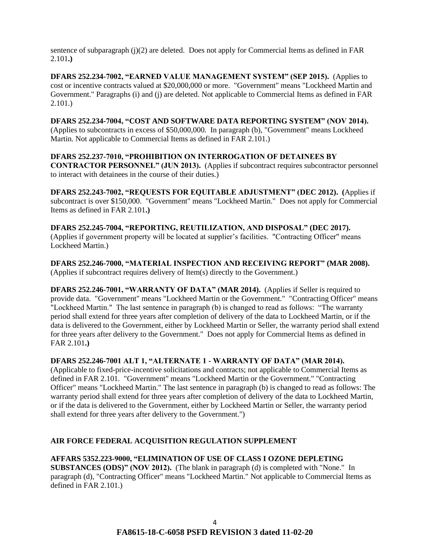sentence of subparagraph (j)(2) are deleted. Does not apply for Commercial Items as defined in FAR 2.101**.)**

**DFARS 252.234-7002, "EARNED VALUE MANAGEMENT SYSTEM" (SEP 2015).** (Applies to cost or incentive contracts valued at \$20,000,000 or more. "Government" means "Lockheed Martin and Government." Paragraphs (i) and (j) are deleted. Not applicable to Commercial Items as defined in FAR 2.101.)

**DFARS 252.234-7004, "COST AND SOFTWARE DATA REPORTING SYSTEM" (NOV 2014).**

(Applies to subcontracts in excess of \$50,000,000. In paragraph (b), "Government" means Lockheed Martin. Not applicable to Commercial Items as defined in FAR 2.101.)

**DFARS 252.237-7010, "PROHIBITION ON INTERROGATION OF DETAINEES BY CONTRACTOR PERSONNEL" (JUN 2013).** (Applies if subcontract requires subcontractor personnel to interact with detainees in the course of their duties.)

**DFARS 252.243-7002, "REQUESTS FOR EQUITABLE ADJUSTMENT" (DEC 2012). (**Applies if subcontract is over \$150,000. "Government" means "Lockheed Martin." Does not apply for Commercial Items as defined in FAR 2.101**.)**

**DFARS 252.245-7004, "REPORTING, REUTILIZATION, AND DISPOSAL" (DEC 2017).** (Applies if government property will be located at supplier's facilities. "Contracting Officer" means Lockheed Martin.)

**DFARS 252.246-7000, "MATERIAL INSPECTION AND RECEIVING REPORT" (MAR 2008).** (Applies if subcontract requires delivery of Item(s) directly to the Government.)

**DFARS 252.246-7001, "WARRANTY OF DATA" (MAR 2014).** (Applies if Seller is required to provide data. "Government" means "Lockheed Martin or the Government." "Contracting Officer" means "Lockheed Martin." The last sentence in paragraph (b) is changed to read as follows: "The warranty period shall extend for three years after completion of delivery of the data to Lockheed Martin, or if the data is delivered to the Government, either by Lockheed Martin or Seller, the warranty period shall extend for three years after delivery to the Government." Does not apply for Commercial Items as defined in FAR 2.101**.)**

**DFARS 252.246-7001 ALT 1, "ALTERNATE 1 - WARRANTY OF DATA" (MAR 2014).** 

(Applicable to fixed-price-incentive solicitations and contracts; not applicable to Commercial Items as defined in FAR 2.101. "Government" means "Lockheed Martin or the Government." "Contracting Officer" means "Lockheed Martin." The last sentence in paragraph (b) is changed to read as follows: The warranty period shall extend for three years after completion of delivery of the data to Lockheed Martin, or if the data is delivered to the Government, either by Lockheed Martin or Seller, the warranty period shall extend for three years after delivery to the Government.")

## **AIR FORCE FEDERAL ACQUISITION REGULATION SUPPLEMENT**

**AFFARS 5352.223-9000, "ELIMINATION OF USE OF CLASS I OZONE DEPLETING SUBSTANCES (ODS)" (NOV 2012).** (The blank in paragraph (d) is completed with "None." In paragraph (d), "Contracting Officer" means "Lockheed Martin." Not applicable to Commercial Items as defined in FAR 2.101.)